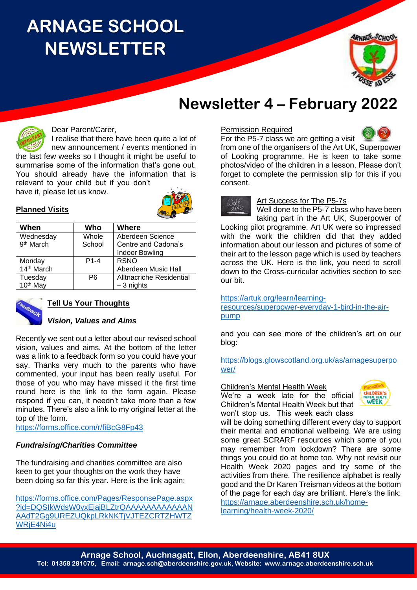# **ARNAGE SCHOOL NEWSLETTER**



## **Newsletter 4 – February 2022**



### Dear Parent/Carer,

I realise that there have been quite a lot of new announcement / events mentioned in the last few weeks so I thought it might be useful to summarise some of the information that's gone out. You should already have the information that is

relevant to your child but if you don't have it, please let us know.



### **Planned Visits**

| When                  | Who    | <b>Where</b>             |
|-----------------------|--------|--------------------------|
| Wednesday             | Whole  | Aberdeen Science         |
| 9 <sup>th</sup> March | School | Centre and Cadona's      |
|                       |        | <b>Indoor Bowling</b>    |
| Monday                | $P1-4$ | <b>RSNO</b>              |
| 14th March            |        | Aberdeen Music Hall      |
| Tuesday               | P6     | Alltnacriche Residential |
| 10 <sup>th</sup> May  |        | $-3$ nights              |



### **Tell Us Your Thoughts**

### *Vision, Values and Aims*

Recently we sent out a letter about our revised school vision, values and aims. At the bottom of the letter was a link to a feedback form so you could have your say. Thanks very much to the parents who have commented, your input has been really useful. For those of you who may have missed it the first time round here is the link to the form again. Please respond if you can, it needn't take more than a few minutes. There's also a link to my original letter at the top of the form.

<https://forms.office.com/r/fiBcG8Fp43>

### *Fundraising/Charities Committee*

The fundraising and charities committee are also keen to get your thoughts on the work they have been doing so far this year. Here is the link again:

[https://forms.office.com/Pages/ResponsePage.aspx](https://forms.office.com/Pages/ResponsePage.aspx?id=DQSIkWdsW0yxEjajBLZtrQAAAAAAAAAAAANAAdT2Gg9UREZUQkpLRkNKTjVJTEZCRTZHWTZWRjE4Ni4u) [?id=DQSIkWdsW0yxEjajBLZtrQAAAAAAAAAAAAN](https://forms.office.com/Pages/ResponsePage.aspx?id=DQSIkWdsW0yxEjajBLZtrQAAAAAAAAAAAANAAdT2Gg9UREZUQkpLRkNKTjVJTEZCRTZHWTZWRjE4Ni4u) [AAdT2Gg9UREZUQkpLRkNKTjVJTEZCRTZHWTZ](https://forms.office.com/Pages/ResponsePage.aspx?id=DQSIkWdsW0yxEjajBLZtrQAAAAAAAAAAAANAAdT2Gg9UREZUQkpLRkNKTjVJTEZCRTZHWTZWRjE4Ni4u) [WRjE4Ni4u](https://forms.office.com/Pages/ResponsePage.aspx?id=DQSIkWdsW0yxEjajBLZtrQAAAAAAAAAAAANAAdT2Gg9UREZUQkpLRkNKTjVJTEZCRTZHWTZWRjE4Ni4u)

#### Permission Required



For the P5-7 class we are getting a visit from one of the organisers of the Art UK, Superpower of Looking programme. He is keen to take some photos/video of the children in a lesson. Please don't forget to complete the permission slip for this if you consent.

# Well

Art Success for The P5-7s

Well done to the P5-7 class who have been taking part in the Art UK, Superpower of Looking pilot programme. Art UK were so impressed

with the work the children did that they added information about our lesson and pictures of some of their art to the lesson page which is used by teachers across the UK. Here is the link, you need to scroll down to the Cross-curricular activities section to see our bit.

[https://artuk.org/learn/learning-](https://artuk.org/learn/learning-resources/superpower-everyday-1-bird-in-the-air-pump)

[resources/superpower-everyday-1-bird-in-the-air](https://artuk.org/learn/learning-resources/superpower-everyday-1-bird-in-the-air-pump)[pump](https://artuk.org/learn/learning-resources/superpower-everyday-1-bird-in-the-air-pump)

and you can see more of the children's art on our blog:

[https://blogs.glowscotland.org.uk/as/arnagesuperpo](https://blogs.glowscotland.org.uk/as/arnagesuperpower/) [wer/](https://blogs.glowscotland.org.uk/as/arnagesuperpower/)

#### Children's Mental Health Week

We're a week late for the official Children's Mental Health Week but that won't stop us. This week each class



will be doing something different every day to support their mental and emotional wellbeing. We are using some great SCRARF resources which some of you may remember from lockdown? There are some things you could do at home too. Why not revisit our Health Week 2020 pages and try some of the activities from there. The resilience alphabet is really good and the Dr Karen Treisman videos at the bottom of the page for each day are brilliant. Here's the link: [https://arnage.aberdeenshire.sch.uk/home](https://arnage.aberdeenshire.sch.uk/home-learning/health-week-2020/)[learning/health-week-2020/](https://arnage.aberdeenshire.sch.uk/home-learning/health-week-2020/)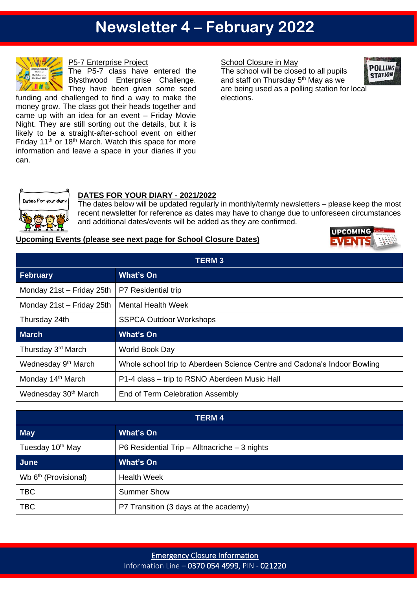## **Newsletter 4 – February 2022**



P5-7 Enterprise Project

The P5-7 class have entered the Blysthwood Enterprise Challenge. They have been given some seed funding and challenged to find a way to make the

money grow. The class got their heads together and came up with an idea for an event – Friday Movie Night. They are still sorting out the details, but it is likely to be a straight-after-school event on either Friday  $11<sup>th</sup>$  or  $18<sup>th</sup>$  March. Watch this space for more information and leave a space in your diaries if you can.

### School Closure in May

The school will be closed to all pupils and staff on Thursday  $5<sup>th</sup>$  May as we are being used as a polling station for local elections.





### **DATES FOR YOUR DIARY - 2021/2022**

The dates below will be updated regularly in monthly/termly newsletters – please keep the most recent newsletter for reference as dates may have to change due to unforeseen circumstances and additional dates/events will be added as they are confirmed.

#### **Upcoming Events (please see next page for School Closure Dates)**



| <b>TERM3</b>                     |                                                                          |  |
|----------------------------------|--------------------------------------------------------------------------|--|
| <b>February</b>                  | <b>What's On</b>                                                         |  |
| Monday 21st - Friday 25th        | P7 Residential trip                                                      |  |
| Monday 21st - Friday 25th        | <b>Mental Health Week</b>                                                |  |
| Thursday 24th                    | <b>SSPCA Outdoor Workshops</b>                                           |  |
| <b>March</b>                     | <b>What's On</b>                                                         |  |
| Thursday 3 <sup>rd</sup> March   | World Book Day                                                           |  |
| Wednesday 9 <sup>th</sup> March  | Whole school trip to Aberdeen Science Centre and Cadona's Indoor Bowling |  |
| Monday 14 <sup>th</sup> March    | P1-4 class – trip to RSNO Aberdeen Music Hall                            |  |
| Wednesday 30 <sup>th</sup> March | End of Term Celebration Assembly                                         |  |

| TERM 4                           |                                               |  |
|----------------------------------|-----------------------------------------------|--|
| <b>May</b>                       | <b>What's On</b>                              |  |
| Tuesday 10 <sup>th</sup> May     | P6 Residential Trip - Alltnacriche - 3 nights |  |
| June                             | <b>What's On</b>                              |  |
| Wb 6 <sup>th</sup> (Provisional) | <b>Health Week</b>                            |  |
| <b>TBC</b>                       | <b>Summer Show</b>                            |  |
| <b>TBC</b>                       | P7 Transition (3 days at the academy)         |  |